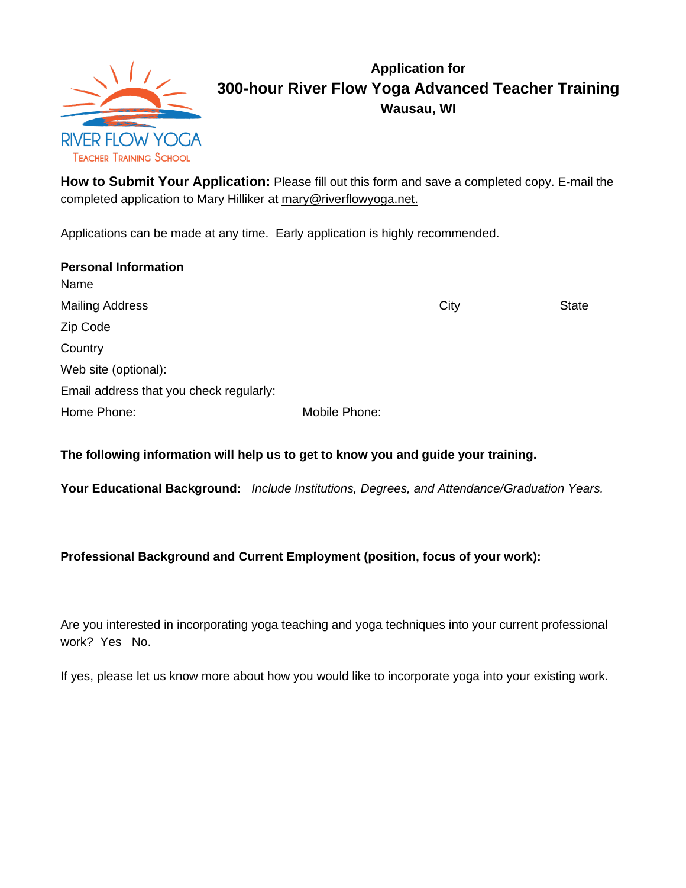

## **Application for 300-hour River Flow Yoga Advanced Teacher Training Wausau, WI**

**How to Submit Your Application:** Please fill out this form and save a completed copy. E-mail the completed application to Mary Hilliker at [mary@riverflowyoga.net.](mailto:mary@riverflowyoga.net)

Applications can be made at any time. Early application is highly recommended.

| <b>Personal Information</b>             |               |      |              |
|-----------------------------------------|---------------|------|--------------|
| Name                                    |               |      |              |
| <b>Mailing Address</b>                  |               | City | <b>State</b> |
| Zip Code                                |               |      |              |
| Country                                 |               |      |              |
| Web site (optional):                    |               |      |              |
| Email address that you check regularly: |               |      |              |
| Home Phone:                             | Mobile Phone: |      |              |

### **The following information will help us to get to know you and guide your training.**

**Your Educational Background:** *Include Institutions, Degrees, and Attendance/Graduation Years.*

### **Professional Background and Current Employment (position, focus of your work):**

Are you interested in incorporating yoga teaching and yoga techniques into your current professional work? Yes No.

If yes, please let us know more about how you would like to incorporate yoga into your existing work.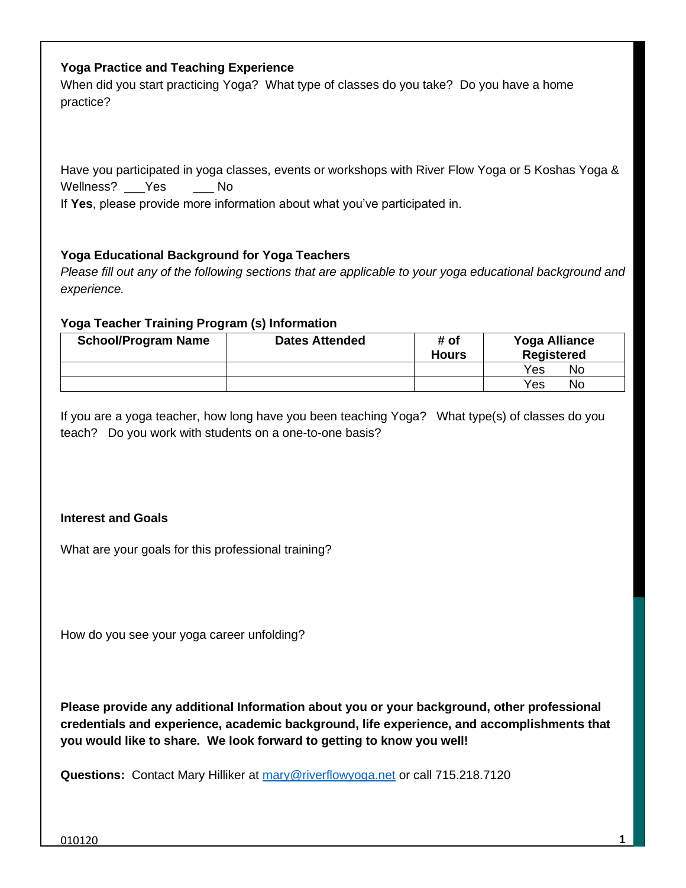#### **Yoga Practice and Teaching Experience**

When did you start practicing Yoga? What type of classes do you take? Do you have a home practice?

Have you participated in yoga classes, events or workshops with River Flow Yoga or 5 Koshas Yoga & Wellness? Yes No

If **Yes**, please provide more information about what you've participated in.

#### **Yoga Educational Background for Yoga Teachers**

*Please fill out any of the following sections that are applicable to your yoga educational background and experience.*

#### **Yoga Teacher Training Program (s) Information**

| <b>School/Program Name</b> | <b>Dates Attended</b> | # of<br><b>Hours</b> | <b>Yoga Alliance</b><br><b>Registered</b> |
|----------------------------|-----------------------|----------------------|-------------------------------------------|
|                            |                       |                      | Yes<br>No                                 |
|                            |                       |                      | Yes<br>No                                 |

If you are a yoga teacher, how long have you been teaching Yoga? What type(s) of classes do you teach? Do you work with students on a one-to-one basis?

#### **Interest and Goals**

What are your goals for this professional training?

How do you see your yoga career unfolding?

**Please provide any additional Information about you or your background, other professional credentials and experience, academic background, life experience, and accomplishments that you would like to share. We look forward to getting to know you well!**

**Questions:** Contact Mary Hilliker at [mary@riverflowyoga.net](mailto:mary@riverflowyoga.net) or call 715.218.7120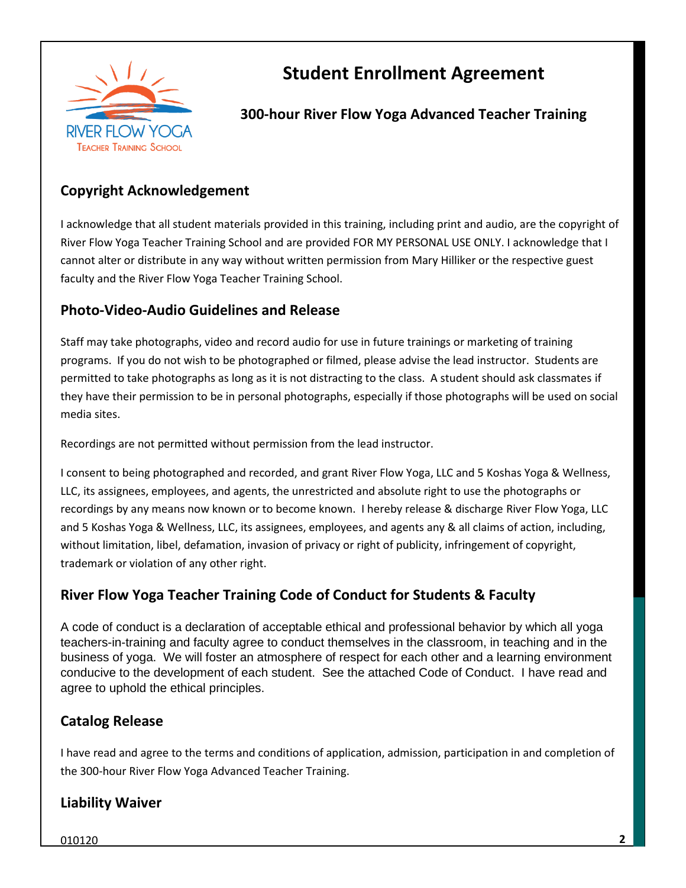

# **Student Enrollment Agreement**

### **300-hour River Flow Yoga Advanced Teacher Training**

### **Copyright Acknowledgement**

I acknowledge that all student materials provided in this training, including print and audio, are the copyright of River Flow Yoga Teacher Training School and are provided FOR MY PERSONAL USE ONLY. I acknowledge that I cannot alter or distribute in any way without written permission from Mary Hilliker or the respective guest faculty and the River Flow Yoga Teacher Training School.

### **Photo-Video-Audio Guidelines and Release**

Staff may take photographs, video and record audio for use in future trainings or marketing of training programs. If you do not wish to be photographed or filmed, please advise the lead instructor. Students are permitted to take photographs as long as it is not distracting to the class. A student should ask classmates if they have their permission to be in personal photographs, especially if those photographs will be used on social media sites.

Recordings are not permitted without permission from the lead instructor.

I consent to being photographed and recorded, and grant River Flow Yoga, LLC and 5 Koshas Yoga & Wellness, LLC, its assignees, employees, and agents, the unrestricted and absolute right to use the photographs or recordings by any means now known or to become known. I hereby release & discharge River Flow Yoga, LLC and 5 Koshas Yoga & Wellness, LLC, its assignees, employees, and agents any & all claims of action, including, without limitation, libel, defamation, invasion of privacy or right of publicity, infringement of copyright, trademark or violation of any other right.

### **River Flow Yoga Teacher Training Code of Conduct for Students & Faculty**

A code of conduct is a declaration of acceptable ethical and professional behavior by which all yoga teachers-in-training and faculty agree to conduct themselves in the classroom, in teaching and in the business of yoga. We will foster an atmosphere of respect for each other and a learning environment conducive to the development of each student. See the attached Code of Conduct. I have read and agree to uphold the ethical principles.

### **Catalog Release**

I have read and agree to the terms and conditions of application, admission, participation in and completion of the 300-hour River Flow Yoga Advanced Teacher Training.

### **Liability Waiver**

010120 **2**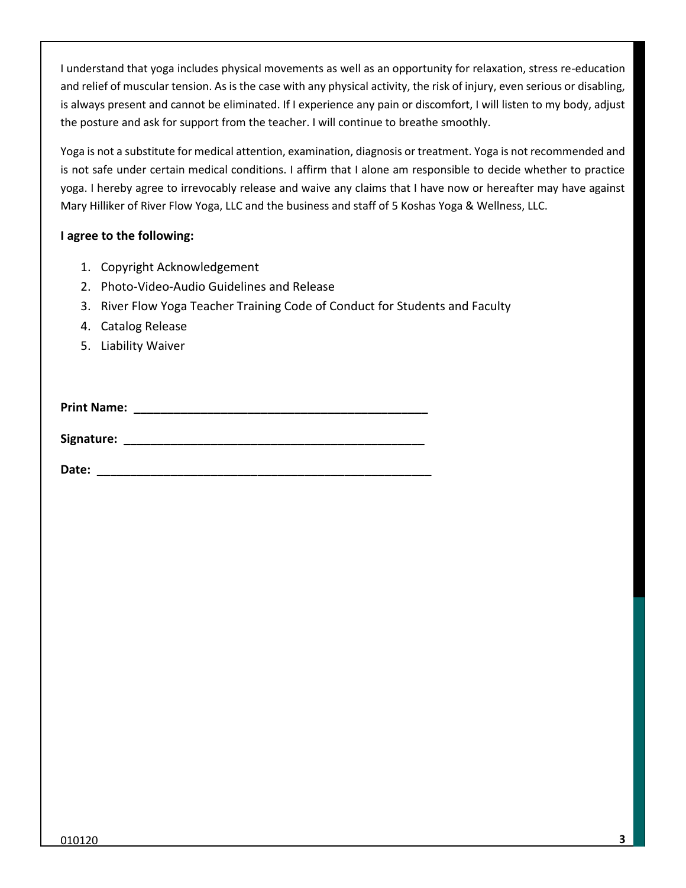I understand that yoga includes physical movements as well as an opportunity for relaxation, stress re-education and relief of muscular tension. As is the case with any physical activity, the risk of injury, even serious or disabling, is always present and cannot be eliminated. If I experience any pain or discomfort, I will listen to my body, adjust the posture and ask for support from the teacher. I will continue to breathe smoothly.

Yoga is not a substitute for medical attention, examination, diagnosis or treatment. Yoga is not recommended and is not safe under certain medical conditions. I affirm that I alone am responsible to decide whether to practice yoga. I hereby agree to irrevocably release and waive any claims that I have now or hereafter may have against Mary Hilliker of River Flow Yoga, LLC and the business and staff of 5 Koshas Yoga & Wellness, LLC.

#### **I agree to the following:**

- 1. Copyright Acknowledgement
- 2. Photo-Video-Audio Guidelines and Release
- 3. River Flow Yoga Teacher Training Code of Conduct for Students and Faculty
- 4. Catalog Release
- 5. Liability Waiver

**Print Name:**  $\blacksquare$ 

**Signature: \_\_\_\_\_\_\_\_\_\_\_\_\_\_\_\_\_\_\_\_\_\_\_\_\_\_\_\_\_\_\_\_\_\_\_\_\_\_\_\_\_\_\_\_\_**

**Date: Contract Contract Contract Contract Contract Contract Contract Contract Contract Contract Contract Contract Contract Contract Contract Contract Contract Contract Contract Contract Contract Contract Contract Contra**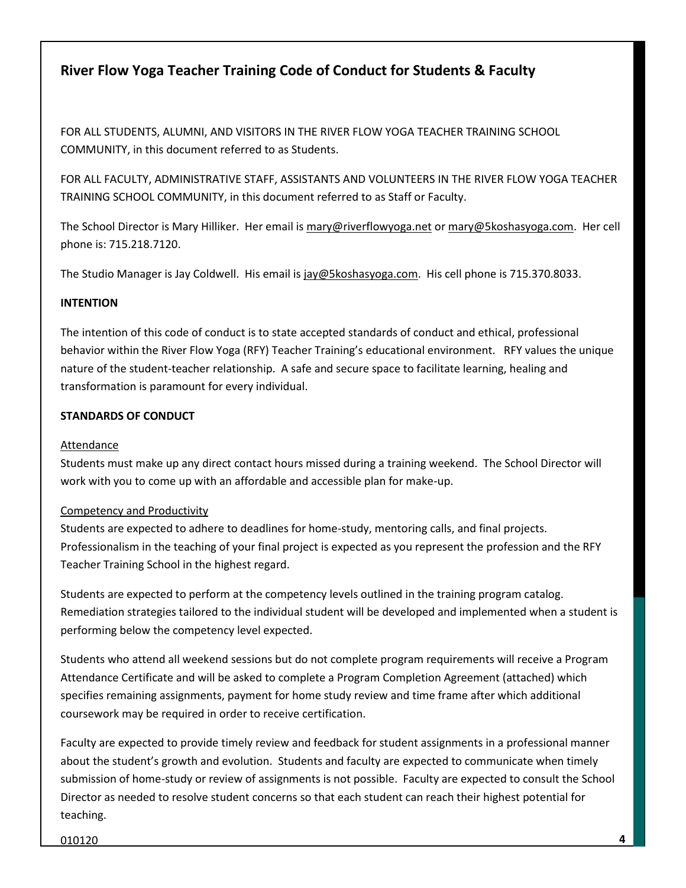### **River Flow Yoga Teacher Training Code of Conduct for Students & Faculty**

FOR ALL STUDENTS, ALUMNI, AND VISITORS IN THE RIVER FLOW YOGA TEACHER TRAINING SCHOOL COMMUNITY, in this document referred to as Students.

FOR ALL FACULTY, ADMINISTRATIVE STAFF, ASSISTANTS AND VOLUNTEERS IN THE RIVER FLOW YOGA TEACHER TRAINING SCHOOL COMMUNITY, in this document referred to as Staff or Faculty.

The School Director is Mary Hilliker. Her email i[s mary@riverflowyoga.net](mailto:mary@riverflowyoga.net) or [mary@5koshasyoga.com.](mailto:mary@5koshasyoga.com) Her cell phone is: 715.218.7120.

The Studio Manager is Jay Coldwell. His email is [jay@5koshasyoga.com.](mailto:jay@5koshasyoga.com) His cell phone is 715.370.8033.

#### **INTENTION**

The intention of this code of conduct is to state accepted standards of conduct and ethical, professional behavior within the River Flow Yoga (RFY) Teacher Training's educational environment. RFY values the unique nature of the student-teacher relationship. A safe and secure space to facilitate learning, healing and transformation is paramount for every individual.

#### **STANDARDS OF CONDUCT**

#### Attendance

Students must make up any direct contact hours missed during a training weekend. The School Director will work with you to come up with an affordable and accessible plan for make-up.

#### Competency and Productivity

Students are expected to adhere to deadlines for home-study, mentoring calls, and final projects. Professionalism in the teaching of your final project is expected as you represent the profession and the RFY Teacher Training School in the highest regard.

Students are expected to perform at the competency levels outlined in the training program catalog. Remediation strategies tailored to the individual student will be developed and implemented when a student is performing below the competency level expected.

Students who attend all weekend sessions but do not complete program requirements will receive a Program Attendance Certificate and will be asked to complete a Program Completion Agreement (attached) which specifies remaining assignments, payment for home study review and time frame after which additional coursework may be required in order to receive certification.

Faculty are expected to provide timely review and feedback for student assignments in a professional manner about the student's growth and evolution. Students and faculty are expected to communicate when timely submission of home-study or review of assignments is not possible. Faculty are expected to consult the School Director as needed to resolve student concerns so that each student can reach their highest potential for teaching.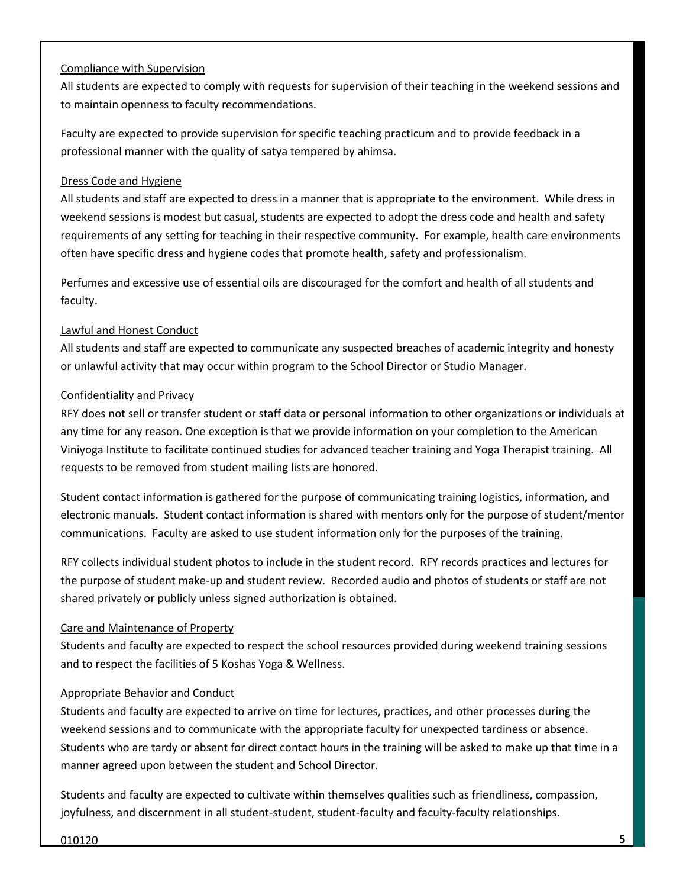#### Compliance with Supervision

All students are expected to comply with requests for supervision of their teaching in the weekend sessions and to maintain openness to faculty recommendations.

Faculty are expected to provide supervision for specific teaching practicum and to provide feedback in a professional manner with the quality of satya tempered by ahimsa.

#### Dress Code and Hygiene

All students and staff are expected to dress in a manner that is appropriate to the environment. While dress in weekend sessions is modest but casual, students are expected to adopt the dress code and health and safety requirements of any setting for teaching in their respective community. For example, health care environments often have specific dress and hygiene codes that promote health, safety and professionalism.

Perfumes and excessive use of essential oils are discouraged for the comfort and health of all students and faculty.

#### Lawful and Honest Conduct

All students and staff are expected to communicate any suspected breaches of academic integrity and honesty or unlawful activity that may occur within program to the School Director or Studio Manager.

#### Confidentiality and Privacy

RFY does not sell or transfer student or staff data or personal information to other organizations or individuals at any time for any reason. One exception is that we provide information on your completion to the American Viniyoga Institute to facilitate continued studies for advanced teacher training and Yoga Therapist training. All requests to be removed from student mailing lists are honored.

Student contact information is gathered for the purpose of communicating training logistics, information, and electronic manuals. Student contact information is shared with mentors only for the purpose of student/mentor communications. Faculty are asked to use student information only for the purposes of the training.

RFY collects individual student photos to include in the student record. RFY records practices and lectures for the purpose of student make-up and student review. Recorded audio and photos of students or staff are not shared privately or publicly unless signed authorization is obtained.

#### Care and Maintenance of Property

Students and faculty are expected to respect the school resources provided during weekend training sessions and to respect the facilities of 5 Koshas Yoga & Wellness.

#### Appropriate Behavior and Conduct

Students and faculty are expected to arrive on time for lectures, practices, and other processes during the weekend sessions and to communicate with the appropriate faculty for unexpected tardiness or absence. Students who are tardy or absent for direct contact hours in the training will be asked to make up that time in a manner agreed upon between the student and School Director.

Students and faculty are expected to cultivate within themselves qualities such as friendliness, compassion, joyfulness, and discernment in all student-student, student-faculty and faculty-faculty relationships.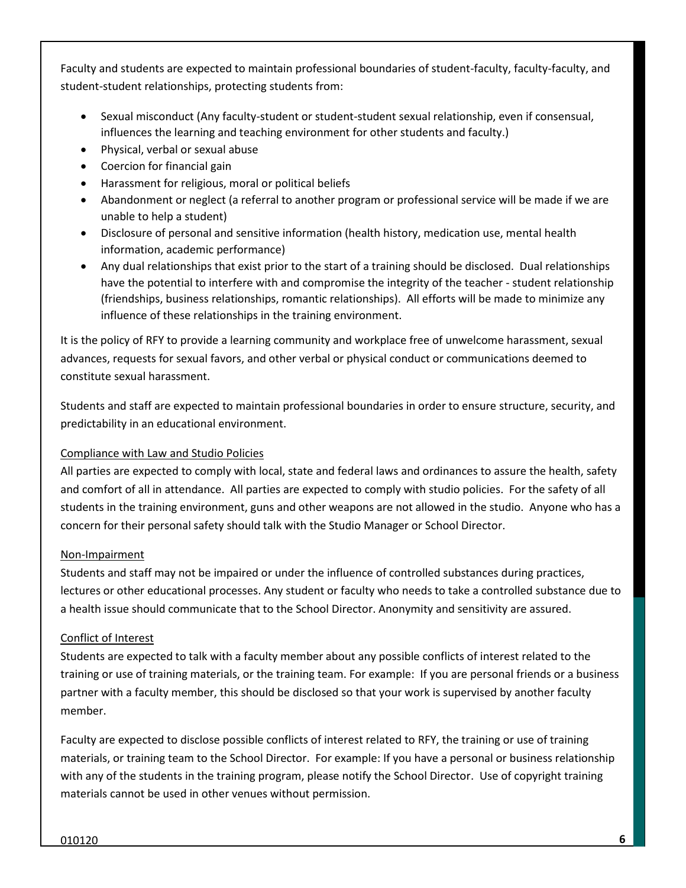Faculty and students are expected to maintain professional boundaries of student-faculty, faculty-faculty, and student-student relationships, protecting students from:

- Sexual misconduct (Any faculty-student or student-student sexual relationship, even if consensual, influences the learning and teaching environment for other students and faculty.)
- Physical, verbal or sexual abuse
- Coercion for financial gain
- Harassment for religious, moral or political beliefs
- Abandonment or neglect (a referral to another program or professional service will be made if we are unable to help a student)
- Disclosure of personal and sensitive information (health history, medication use, mental health information, academic performance)
- Any dual relationships that exist prior to the start of a training should be disclosed. Dual relationships have the potential to interfere with and compromise the integrity of the teacher - student relationship (friendships, business relationships, romantic relationships). All efforts will be made to minimize any influence of these relationships in the training environment.

It is the policy of RFY to provide a learning community and workplace free of unwelcome harassment, sexual advances, requests for sexual favors, and other verbal or physical conduct or communications deemed to constitute sexual harassment.

Students and staff are expected to maintain professional boundaries in order to ensure structure, security, and predictability in an educational environment.

#### Compliance with Law and Studio Policies

All parties are expected to comply with local, state and federal laws and ordinances to assure the health, safety and comfort of all in attendance. All parties are expected to comply with studio policies. For the safety of all students in the training environment, guns and other weapons are not allowed in the studio. Anyone who has a concern for their personal safety should talk with the Studio Manager or School Director.

#### Non-Impairment

Students and staff may not be impaired or under the influence of controlled substances during practices, lectures or other educational processes. Any student or faculty who needs to take a controlled substance due to a health issue should communicate that to the School Director. Anonymity and sensitivity are assured.

#### Conflict of Interest

Students are expected to talk with a faculty member about any possible conflicts of interest related to the training or use of training materials, or the training team. For example: If you are personal friends or a business partner with a faculty member, this should be disclosed so that your work is supervised by another faculty member.

Faculty are expected to disclose possible conflicts of interest related to RFY, the training or use of training materials, or training team to the School Director. For example: If you have a personal or business relationship with any of the students in the training program, please notify the School Director. Use of copyright training materials cannot be used in other venues without permission.